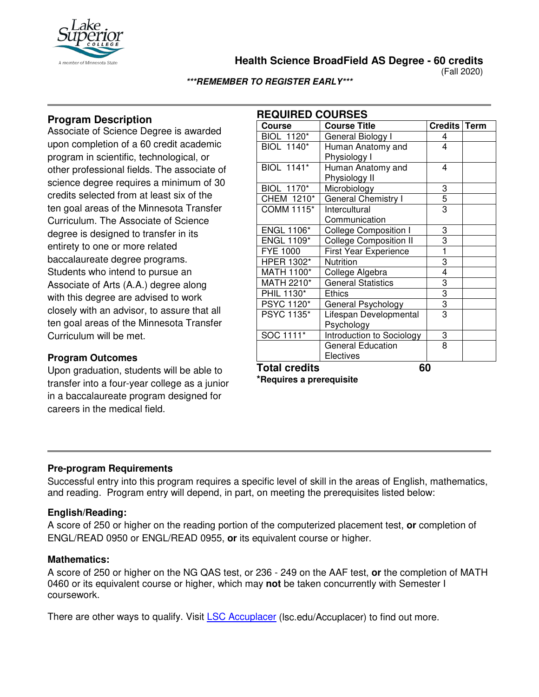

**Health Science BroadField AS Degree - 60 credits**

(Fall 2020)

**\*\*\*REMEMBER TO REGISTER EARLY\*\*\***

# **Program Description**

Associate of Science Degree is awarded upon completion of a 60 credit academic program in scientific, technological, or other professional fields. The associate of science degree requires a minimum of 30 credits selected from at least six of the ten goal areas of the Minnesota Transfer Curriculum. The Associate of Science degree is designed to transfer in its entirety to one or more related baccalaureate degree programs. Students who intend to pursue an Associate of Arts (A.A.) degree along with this degree are advised to work closely with an advisor, to assure that all ten goal areas of the Minnesota Transfer Curriculum will be met.

## **Program Outcomes**

Upon graduation, students will be able to transfer into a four-year college as a junior in a baccalaureate program designed for careers in the medical field.

| <b>REQUIRED COURSES</b> |                               |                |             |  |
|-------------------------|-------------------------------|----------------|-------------|--|
| <b>Course</b>           | <b>Course Title</b>           | <b>Credits</b> | <b>Term</b> |  |
| <b>BIOL 1120*</b>       | General Biology I             | 4              |             |  |
| <b>BIOL 1140*</b>       | Human Anatomy and             | 4              |             |  |
|                         | Physiology I                  |                |             |  |
| <b>BIOL 1141*</b>       | Human Anatomy and             | 4              |             |  |
|                         | Physiology II                 |                |             |  |
| BIOL 1170*              | Microbiology                  | 3              |             |  |
| CHEM 1210*              | <b>General Chemistry I</b>    | $\overline{5}$ |             |  |
| COMM 1115*              | Intercultural                 | 3              |             |  |
|                         | Communication                 |                |             |  |
| <b>ENGL 1106*</b>       | College Composition I         | 3              |             |  |
| <b>ENGL 1109*</b>       | <b>College Composition II</b> | 3              |             |  |
| <b>FYE 1000</b>         | <b>First Year Experience</b>  | 1              |             |  |
| HPER 1302*              | Nutrition                     | 3              |             |  |
| MATH 1100*              | College Algebra               | 4              |             |  |
| MATH 2210*              | <b>General Statistics</b>     | 3              |             |  |
| PHIL 1130*              | <b>Ethics</b>                 | $\overline{3}$ |             |  |
| PSYC 1120*              | General Psychology            | $\overline{3}$ |             |  |
| PSYC 1135*              | Lifespan Developmental        | 3              |             |  |
|                         | Psychology                    |                |             |  |
| SOC 1111*               | Introduction to Sociology     | 3              |             |  |
|                         | <b>General Education</b>      | 8              |             |  |
|                         | Electives                     |                |             |  |
| ٠.<br>                  |                               |                |             |  |

**Total credits 60**

**\*Requires a prerequisite**

### **Pre-program Requirements**

Successful entry into this program requires a specific level of skill in the areas of English, mathematics, and reading. Program entry will depend, in part, on meeting the prerequisites listed below:

### **English/Reading:**

A score of 250 or higher on the reading portion of the computerized placement test, **or** completion of ENGL/READ 0950 or ENGL/READ 0955, **or** its equivalent course or higher.

### **Mathematics:**

A score of 250 or higher on the NG QAS test, or 236 - 249 on the AAF test, **or** the completion of MATH 0460 or its equivalent course or higher, which may **not** be taken concurrently with Semester I coursework.

There are other ways to qualify. Visit [LSC Accuplacer](https://www.lsc.edu/accuplacer/) (lsc.edu/Accuplacer) to find out more.